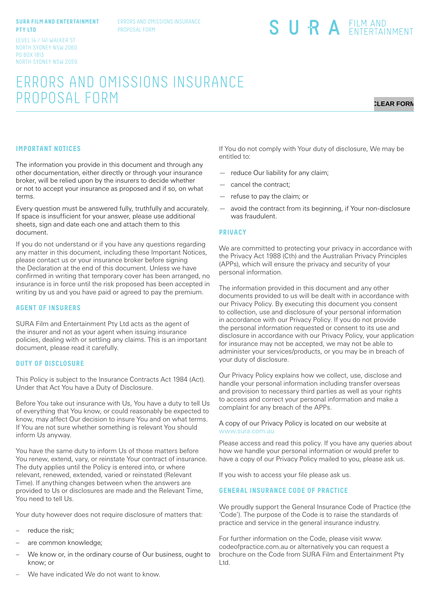#### **SURA FILM AND ENTERTAINMENT PTY LTD**

ERRORS AND OMISSIONS INSURANCE PROPOSAL FORM

# SURA EILM AND

LEVEL 14 / 141 WALKER ST NORTH SYDNEY NSW 2060 PO BOX 1813 NORTH SYDNEY NSW 2059

# ERRORS AND OMISSIONS INSURANCE PROPOSAL FORM

# **CLEAR FORM**

## **IMPORTANT NOTICES**

The information you provide in this document and through any other documentation, either directly or through your insurance broker, will be relied upon by the insurers to decide whether or not to accept your insurance as proposed and if so, on what terms.

Every question must be answered fully, truthfully and accurately. If space is insufficient for your answer, please use additional sheets, sign and date each one and attach them to this document.

If you do not understand or if you have any questions regarding any matter in this document, including these Important Notices, please contact us or your insurance broker before signing the Declaration at the end of this document. Unless we have confirmed in writing that temporary cover has been arranged, no insurance is in force until the risk proposed has been accepted in writing by us and you have paid or agreed to pay the premium.

#### **AGENT OF INSURERS**

SURA Film and Entertainment Pty Ltd acts as the agent of the insurer and not as your agent when issuing insurance policies, dealing with or settling any claims. This is an important document, please read it carefully.

#### **DUTY OF DISCLOSURE**

This Policy is subject to the Insurance Contracts Act 1984 (Act). Under that Act You have a Duty of Disclosure.

Before You take out insurance with Us, You have a duty to tell Us of everything that You know, or could reasonably be expected to know, may affect Our decision to insure You and on what terms. If You are not sure whether something is relevant You should inform Us anyway.

You have the same duty to inform Us of those matters before You renew, extend, vary, or reinstate Your contract of insurance. The duty applies until the Policy is entered into, or where relevant, renewed, extended, varied or reinstated (Relevant Time). If anything changes between when the answers are provided to Us or disclosures are made and the Relevant Time, You need to tell Us.

Your duty however does not require disclosure of matters that:

- reduce the risk;
- are common knowledge;
- We know or, in the ordinary course of Our business, ought to know; or

If You do not comply with Your duty of disclosure, We may be entitled to:

- reduce Our liability for any claim;
- cancel the contract;
- refuse to pay the claim; or
- avoid the contract from its beginning, if Your non-disclosure was fraudulent.

#### **PRIVACY**

We are committed to protecting your privacy in accordance with the Privacy Act 1988 (Cth) and the Australian Privacy Principles (APPs), which will ensure the privacy and security of your personal information.

The information provided in this document and any other documents provided to us will be dealt with in accordance with our Privacy Policy. By executing this document you consent to collection, use and disclosure of your personal information in accordance with our Privacy Policy. If you do not provide the personal information requested or consent to its use and disclosure in accordance with our Privacy Policy, your application for insurance may not be accepted, we may not be able to administer your services/products, or you may be in breach of your duty of disclosure.

Our Privacy Policy explains how we collect, use, disclose and handle your personal information including transfer overseas and provision to necessary third parties as well as your rights to access and correct your personal information and make a complaint for any breach of the APPs.

#### A copy of our Privacy Policy is located on our website at www.sura.com.au

Please access and read this policy. If you have any queries about how we handle your personal information or would prefer to have a copy of our Privacy Policy mailed to you, please ask us.

If you wish to access your file please ask us.

## **GENERAL INSURANCE CODE OF PRACTICE**

We proudly support the General Insurance Code of Practice (the 'Code'). The purpose of the Code is to raise the standards of practice and service in the general insurance industry.

For further information on the Code, please visit www. codeofpractice.com.au or alternatively you can request a brochure on the Code from SURA Film and Entertainment Pty Ltd.

We have indicated We do not want to know.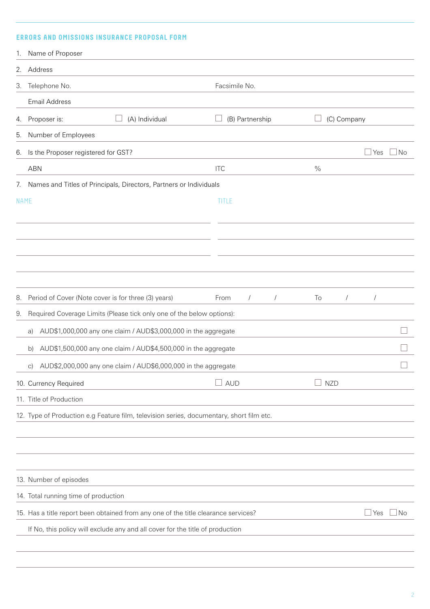# **ERRORS AND OMISSIONS INSURANCE PROPOSAL FORM**

| 1.          | Name of Proposer                                                                         |                                  |                  |                          |
|-------------|------------------------------------------------------------------------------------------|----------------------------------|------------------|--------------------------|
|             | 2. Address                                                                               |                                  |                  |                          |
| 3.          | Telephone No.                                                                            | Facsimile No.                    |                  |                          |
|             | <b>Email Address</b>                                                                     |                                  |                  |                          |
| 4.          | (A) Individual<br>Proposer is:                                                           | (B) Partnership                  | (C) Company      |                          |
| 5.          | Number of Employees                                                                      |                                  |                  |                          |
| 6.          | Is the Proposer registered for GST?                                                      |                                  |                  | $\sqcup$ Yes<br>⊥No      |
|             | <b>ABN</b>                                                                               | <b>ITC</b>                       | $\%$             |                          |
| 7.          | Names and Titles of Principals, Directors, Partners or Individuals                       |                                  |                  |                          |
| <b>NAME</b> |                                                                                          | TITLE                            |                  |                          |
|             |                                                                                          |                                  |                  |                          |
|             |                                                                                          |                                  |                  |                          |
|             |                                                                                          |                                  |                  |                          |
|             |                                                                                          |                                  |                  |                          |
|             |                                                                                          |                                  |                  |                          |
| 8.          | Period of Cover (Note cover is for three (3) years)                                      | From<br>$\sqrt{2}$<br>$\sqrt{2}$ | To<br>$\sqrt{2}$ |                          |
| 9.          | Required Coverage Limits (Please tick only one of the below options):                    |                                  |                  |                          |
|             | AUD\$1,000,000 any one claim / AUD\$3,000,000 in the aggregate<br>a)                     |                                  |                  |                          |
|             | AUD\$1,500,000 any one claim / AUD\$4,500,000 in the aggregate<br>b)                     |                                  |                  |                          |
|             | c) AUD\$2,000,000 any one claim / AUD\$6,000,000 in the aggregate                        |                                  |                  | $\overline{\phantom{a}}$ |
|             | 10. Currency Required                                                                    | <b>AUD</b>                       | <b>NZD</b>       |                          |
|             | 11. Title of Production                                                                  |                                  |                  |                          |
|             | 12. Type of Production e.g Feature film, television series, documentary, short film etc. |                                  |                  |                          |
|             |                                                                                          |                                  |                  |                          |
|             |                                                                                          |                                  |                  |                          |
|             |                                                                                          |                                  |                  |                          |
|             | 13. Number of episodes                                                                   |                                  |                  |                          |
|             | 14. Total running time of production                                                     |                                  |                  |                          |
|             | 15. Has a title report been obtained from any one of the title clearance services?       |                                  |                  | $\Box$ No<br>  Yes       |
|             | If No, this policy will exclude any and all cover for the title of production            |                                  |                  |                          |
|             |                                                                                          |                                  |                  |                          |
|             |                                                                                          |                                  |                  |                          |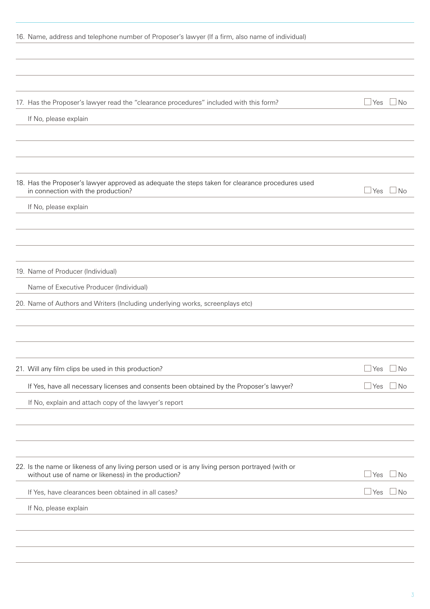| 16. Name, address and telephone number of Proposer's lawyer (If a firm, also name of individual)                                       |            |           |
|----------------------------------------------------------------------------------------------------------------------------------------|------------|-----------|
|                                                                                                                                        |            |           |
|                                                                                                                                        |            |           |
|                                                                                                                                        |            |           |
| 17. Has the Proposer's lawyer read the "clearance procedures" included with this form?                                                 | $\Box$ Yes | $\Box$ No |
| If No, please explain                                                                                                                  |            |           |
|                                                                                                                                        |            |           |
|                                                                                                                                        |            |           |
|                                                                                                                                        |            |           |
| 18. Has the Proposer's lawyer approved as adequate the steps taken for clearance procedures used<br>in connection with the production? | ⊿ Yes      | l No      |
| If No, please explain                                                                                                                  |            |           |
|                                                                                                                                        |            |           |
|                                                                                                                                        |            |           |
|                                                                                                                                        |            |           |
| 19. Name of Producer (Individual)                                                                                                      |            |           |
| Name of Executive Producer (Individual)                                                                                                |            |           |
| 20. Name of Authors and Writers (Including underlying works, screenplays etc)                                                          |            |           |
|                                                                                                                                        |            |           |
|                                                                                                                                        |            |           |
|                                                                                                                                        |            |           |
| 21. Will any film clips be used in this production?                                                                                    | ⊿ Yes      | l No      |
| If Yes, have all necessary licenses and consents been obtained by the Proposer's lawyer?                                               | ⊿ Yes      | ⊥No       |
| If No, explain and attach copy of the lawyer's report                                                                                  |            |           |
|                                                                                                                                        |            |           |
|                                                                                                                                        |            |           |
| 22. Is the name or likeness of any living person used or is any living person portrayed (with or                                       |            |           |
| without use of name or likeness) in the production?                                                                                    | ⊥Yes       | No.       |
| If Yes, have clearances been obtained in all cases?                                                                                    | ⊿ Yes      | <b>No</b> |
| If No, please explain                                                                                                                  |            |           |
|                                                                                                                                        |            |           |
|                                                                                                                                        |            |           |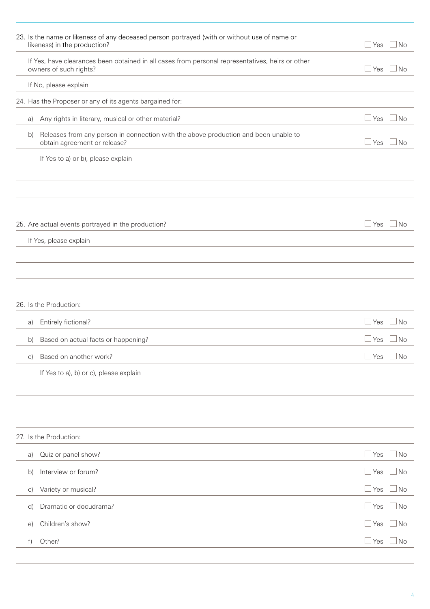|              | 23. Is the name or likeness of any deceased person portrayed (with or without use of name or<br>likeness) in the production? | l Yes        | $\Box$ No |
|--------------|------------------------------------------------------------------------------------------------------------------------------|--------------|-----------|
|              | If Yes, have clearances been obtained in all cases from personal representatives, heirs or other<br>owners of such rights?   | ⊥Yes         | ⊿ No      |
|              | If No, please explain                                                                                                        |              |           |
|              | 24. Has the Proposer or any of its agents bargained for:                                                                     |              |           |
| a)           | Any rights in literary, musical or other material?                                                                           | ⊥Yes         | $\Box$ No |
| b)           | Releases from any person in connection with the above production and been unable to<br>obtain agreement or release?          | Yes          | ⊿ No      |
|              | If Yes to a) or b), please explain                                                                                           |              |           |
|              |                                                                                                                              |              |           |
|              |                                                                                                                              |              |           |
|              |                                                                                                                              |              |           |
|              | 25. Are actual events portrayed in the production?                                                                           | $\Box$ Yes   | $\Box$ No |
|              | If Yes, please explain                                                                                                       |              |           |
|              |                                                                                                                              |              |           |
|              |                                                                                                                              |              |           |
|              | 26. Is the Production:                                                                                                       |              |           |
| a)           | Entirely fictional?                                                                                                          | ⊥Yes         | $\Box$ No |
| b)           | Based on actual facts or happening?                                                                                          | Yes          | <b>No</b> |
| C)           | Based on another work?                                                                                                       | Yes          | l No      |
|              | If Yes to a), b) or c), please explain                                                                                       |              |           |
|              |                                                                                                                              |              |           |
|              |                                                                                                                              |              |           |
|              |                                                                                                                              |              |           |
|              | 27. Is the Production:                                                                                                       |              |           |
| a)           | Quiz or panel show?                                                                                                          | ∫Yes         | $\Box$ No |
| b)           | Interview or forum?                                                                                                          | l Yes        | $\Box$ No |
| $\vert$ C)   | Variety or musical?                                                                                                          | ∫Yes         | ⊿ No      |
| $\mathsf{d}$ | Dramatic or docudrama?                                                                                                       | <u>I</u> Yes | $\Box$ No |
| $\Theta$ )   | Children's show?                                                                                                             | <u> </u> Yes | $\Box$ No |
| f)           | Other?                                                                                                                       | <u>I</u> Yes | ⊥No       |
|              |                                                                                                                              |              |           |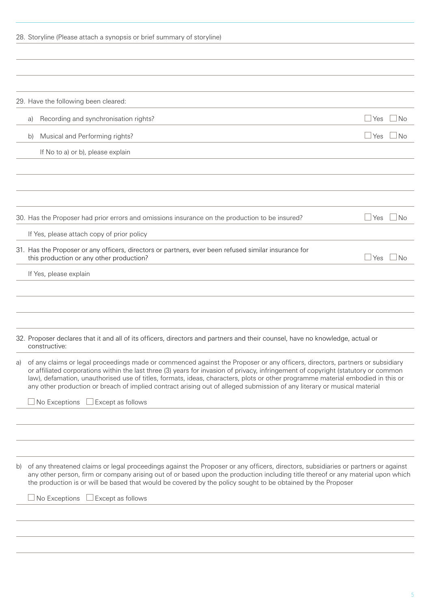|    | 28. Storyline (Please attach a synopsis or brief summary of storyline)                                                                                                                                                                                                                                                                                                                                                                                                                                                            |                    |  |
|----|-----------------------------------------------------------------------------------------------------------------------------------------------------------------------------------------------------------------------------------------------------------------------------------------------------------------------------------------------------------------------------------------------------------------------------------------------------------------------------------------------------------------------------------|--------------------|--|
|    |                                                                                                                                                                                                                                                                                                                                                                                                                                                                                                                                   |                    |  |
|    | 29. Have the following been cleared:                                                                                                                                                                                                                                                                                                                                                                                                                                                                                              |                    |  |
|    | Recording and synchronisation rights?<br>a)                                                                                                                                                                                                                                                                                                                                                                                                                                                                                       | $\Box$ Yes<br>No   |  |
|    | Musical and Performing rights?<br>b)                                                                                                                                                                                                                                                                                                                                                                                                                                                                                              | $\Box$ Yes<br>No   |  |
|    | If No to a) or b), please explain                                                                                                                                                                                                                                                                                                                                                                                                                                                                                                 |                    |  |
|    |                                                                                                                                                                                                                                                                                                                                                                                                                                                                                                                                   |                    |  |
|    | 30. Has the Proposer had prior errors and omissions insurance on the production to be insured?                                                                                                                                                                                                                                                                                                                                                                                                                                    | No<br>$\Box$ Yes   |  |
|    | If Yes, please attach copy of prior policy                                                                                                                                                                                                                                                                                                                                                                                                                                                                                        |                    |  |
|    | 31. Has the Proposer or any officers, directors or partners, ever been refused similar insurance for<br>this production or any other production?                                                                                                                                                                                                                                                                                                                                                                                  | $\sqcup$ Yes<br>No |  |
|    | If Yes, please explain                                                                                                                                                                                                                                                                                                                                                                                                                                                                                                            |                    |  |
|    | 32. Proposer declares that it and all of its officers, directors and partners and their counsel, have no knowledge, actual or                                                                                                                                                                                                                                                                                                                                                                                                     |                    |  |
|    | constructive:                                                                                                                                                                                                                                                                                                                                                                                                                                                                                                                     |                    |  |
| a) | of any claims or legal proceedings made or commenced against the Proposer or any officers, directors, partners or subsidiary<br>or affiliated corporations within the last three (3) years for invasion of privacy, infringement of copyright (statutory or common<br>law), defamation, unauthorised use of titles, formats, ideas, characters, plots or other programme material embodied in this or<br>any other production or breach of implied contract arising out of alleged submission of any literary or musical material |                    |  |
|    | $\Box$ No Exceptions $\Box$ Except as follows                                                                                                                                                                                                                                                                                                                                                                                                                                                                                     |                    |  |
|    |                                                                                                                                                                                                                                                                                                                                                                                                                                                                                                                                   |                    |  |
| b) | of any threatened claims or legal proceedings against the Proposer or any officers, directors, subsidiaries or partners or against<br>any other person, firm or company arising out of or based upon the production including title thereof or any material upon which<br>the production is or will be based that would be covered by the policy sought to be obtained by the Proposer                                                                                                                                            |                    |  |
|    | $\Box$ No Exceptions<br>Except as follows                                                                                                                                                                                                                                                                                                                                                                                                                                                                                         |                    |  |
|    |                                                                                                                                                                                                                                                                                                                                                                                                                                                                                                                                   |                    |  |
|    |                                                                                                                                                                                                                                                                                                                                                                                                                                                                                                                                   |                    |  |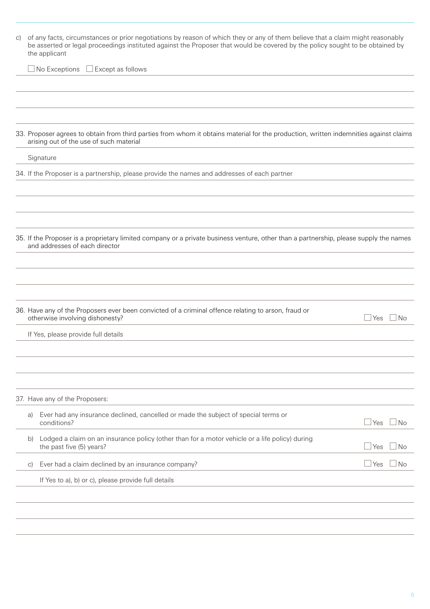| of any facts, circumstances or prior negotiations by reason of which they or any of them believe that a claim might reasonably<br>be asserted or legal proceedings instituted against the Proposer that would be covered by the policy sought to be obtained by<br>the applicant |                                                                                                                            |                                                                                                                                                                                                                                                                                                                                                                                                                                                                                                                                                                                                                                                                                                                        |  |
|----------------------------------------------------------------------------------------------------------------------------------------------------------------------------------------------------------------------------------------------------------------------------------|----------------------------------------------------------------------------------------------------------------------------|------------------------------------------------------------------------------------------------------------------------------------------------------------------------------------------------------------------------------------------------------------------------------------------------------------------------------------------------------------------------------------------------------------------------------------------------------------------------------------------------------------------------------------------------------------------------------------------------------------------------------------------------------------------------------------------------------------------------|--|
|                                                                                                                                                                                                                                                                                  | $\Box$ Except as follows                                                                                                   |                                                                                                                                                                                                                                                                                                                                                                                                                                                                                                                                                                                                                                                                                                                        |  |
|                                                                                                                                                                                                                                                                                  |                                                                                                                            |                                                                                                                                                                                                                                                                                                                                                                                                                                                                                                                                                                                                                                                                                                                        |  |
|                                                                                                                                                                                                                                                                                  |                                                                                                                            |                                                                                                                                                                                                                                                                                                                                                                                                                                                                                                                                                                                                                                                                                                                        |  |
|                                                                                                                                                                                                                                                                                  |                                                                                                                            |                                                                                                                                                                                                                                                                                                                                                                                                                                                                                                                                                                                                                                                                                                                        |  |
|                                                                                                                                                                                                                                                                                  |                                                                                                                            |                                                                                                                                                                                                                                                                                                                                                                                                                                                                                                                                                                                                                                                                                                                        |  |
|                                                                                                                                                                                                                                                                                  |                                                                                                                            |                                                                                                                                                                                                                                                                                                                                                                                                                                                                                                                                                                                                                                                                                                                        |  |
|                                                                                                                                                                                                                                                                                  |                                                                                                                            |                                                                                                                                                                                                                                                                                                                                                                                                                                                                                                                                                                                                                                                                                                                        |  |
|                                                                                                                                                                                                                                                                                  |                                                                                                                            |                                                                                                                                                                                                                                                                                                                                                                                                                                                                                                                                                                                                                                                                                                                        |  |
|                                                                                                                                                                                                                                                                                  |                                                                                                                            |                                                                                                                                                                                                                                                                                                                                                                                                                                                                                                                                                                                                                                                                                                                        |  |
|                                                                                                                                                                                                                                                                                  |                                                                                                                            |                                                                                                                                                                                                                                                                                                                                                                                                                                                                                                                                                                                                                                                                                                                        |  |
|                                                                                                                                                                                                                                                                                  |                                                                                                                            |                                                                                                                                                                                                                                                                                                                                                                                                                                                                                                                                                                                                                                                                                                                        |  |
|                                                                                                                                                                                                                                                                                  |                                                                                                                            |                                                                                                                                                                                                                                                                                                                                                                                                                                                                                                                                                                                                                                                                                                                        |  |
|                                                                                                                                                                                                                                                                                  |                                                                                                                            | <b>Yes</b><br><b>No</b>                                                                                                                                                                                                                                                                                                                                                                                                                                                                                                                                                                                                                                                                                                |  |
|                                                                                                                                                                                                                                                                                  |                                                                                                                            |                                                                                                                                                                                                                                                                                                                                                                                                                                                                                                                                                                                                                                                                                                                        |  |
|                                                                                                                                                                                                                                                                                  |                                                                                                                            |                                                                                                                                                                                                                                                                                                                                                                                                                                                                                                                                                                                                                                                                                                                        |  |
|                                                                                                                                                                                                                                                                                  |                                                                                                                            |                                                                                                                                                                                                                                                                                                                                                                                                                                                                                                                                                                                                                                                                                                                        |  |
|                                                                                                                                                                                                                                                                                  |                                                                                                                            |                                                                                                                                                                                                                                                                                                                                                                                                                                                                                                                                                                                                                                                                                                                        |  |
|                                                                                                                                                                                                                                                                                  |                                                                                                                            |                                                                                                                                                                                                                                                                                                                                                                                                                                                                                                                                                                                                                                                                                                                        |  |
|                                                                                                                                                                                                                                                                                  | Ever had any insurance declined, cancelled or made the subject of special terms or<br>conditions?                          | $\sqcup$ Yes<br>⊥No                                                                                                                                                                                                                                                                                                                                                                                                                                                                                                                                                                                                                                                                                                    |  |
|                                                                                                                                                                                                                                                                                  | Lodged a claim on an insurance policy (other than for a motor vehicle or a life policy) during<br>the past five (5) years? | ⊥Yes<br>No                                                                                                                                                                                                                                                                                                                                                                                                                                                                                                                                                                                                                                                                                                             |  |
|                                                                                                                                                                                                                                                                                  | Ever had a claim declined by an insurance company?                                                                         | ⊿ Yes<br>No.                                                                                                                                                                                                                                                                                                                                                                                                                                                                                                                                                                                                                                                                                                           |  |
|                                                                                                                                                                                                                                                                                  | If Yes to a), b) or c), please provide full details                                                                        |                                                                                                                                                                                                                                                                                                                                                                                                                                                                                                                                                                                                                                                                                                                        |  |
|                                                                                                                                                                                                                                                                                  |                                                                                                                            |                                                                                                                                                                                                                                                                                                                                                                                                                                                                                                                                                                                                                                                                                                                        |  |
|                                                                                                                                                                                                                                                                                  |                                                                                                                            |                                                                                                                                                                                                                                                                                                                                                                                                                                                                                                                                                                                                                                                                                                                        |  |
|                                                                                                                                                                                                                                                                                  | a)<br>b)<br>$\circ$ )                                                                                                      | $\exists$ No Exceptions<br>33. Proposer agrees to obtain from third parties from whom it obtains material for the production, written indemnities against claims<br>arising out of the use of such material<br>Signature<br>34. If the Proposer is a partnership, please provide the names and addresses of each partner<br>35. If the Proposer is a proprietary limited company or a private business venture, other than a partnership, please supply the names<br>and addresses of each director<br>36. Have any of the Proposers ever been convicted of a criminal offence relating to arson, fraud or<br>otherwise involving dishonesty?<br>If Yes, please provide full details<br>37. Have any of the Proposers: |  |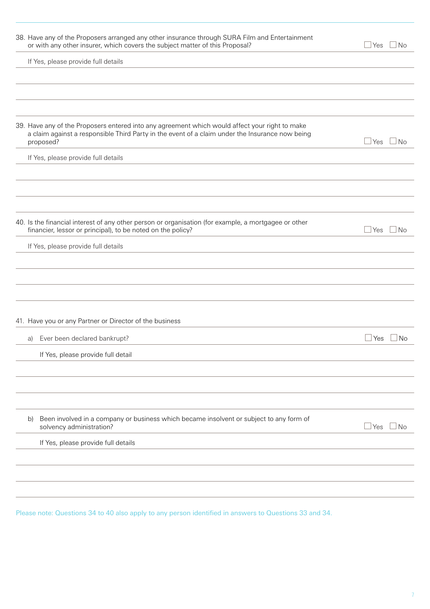| 38. Have any of the Proposers arranged any other insurance through SURA Film and Entertainment<br>or with any other insurer, which covers the subject matter of this Proposal?                                 | ⊥Yes<br>⊿ No         |
|----------------------------------------------------------------------------------------------------------------------------------------------------------------------------------------------------------------|----------------------|
| If Yes, please provide full details                                                                                                                                                                            |                      |
|                                                                                                                                                                                                                |                      |
| 39. Have any of the Proposers entered into any agreement which would affect your right to make<br>a claim against a responsible Third Party in the event of a claim under the Insurance now being<br>proposed? | $\Box$ Yes<br>⊿ No   |
| If Yes, please provide full details                                                                                                                                                                            |                      |
| 40. Is the financial interest of any other person or organisation (for example, a mortgagee or other                                                                                                           |                      |
| financier, lessor or principal), to be noted on the policy?                                                                                                                                                    | l Yes<br>⊿ No        |
| If Yes, please provide full details                                                                                                                                                                            |                      |
|                                                                                                                                                                                                                |                      |
| 41. Have you or any Partner or Director of the business                                                                                                                                                        |                      |
| Ever been declared bankrupt?<br>a)                                                                                                                                                                             | No<br>⊿ Yes          |
| If Yes, please provide full detail                                                                                                                                                                             |                      |
|                                                                                                                                                                                                                |                      |
| Been involved in a company or business which became insolvent or subject to any form of<br>b)<br>solvency administration?                                                                                      | $\sqcup$ Yes<br>⊿ No |
| If Yes, please provide full details                                                                                                                                                                            |                      |
|                                                                                                                                                                                                                |                      |
|                                                                                                                                                                                                                |                      |

Please note: Questions 34 to 40 also apply to any person identified in answers to Questions 33 and 34.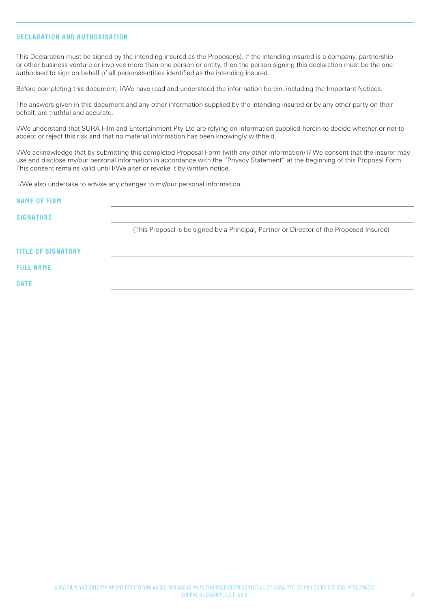# **DECLARATION AND AUTHORISATION**

This Declaration must be signed by the intending insured as the Proposer(s). If the intending insured is a company, partnership or other business venture or involves more than one person or entity, then the person signing this declaration must be the one authorised to sign on behalf of all persons/entities identified as the intending insured.

Before completing this document, I/We have read and understood the information herein, including the Important Notices.

The answers given in this document and any other information supplied by the intending insured or by any other party on their behalf, are truthful and accurate.

I/We understand that SURA Film and Entertainment Pty Ltd are relying on information supplied herein to decide whether or not to accept or reject this risk and that no material information has been knowingly withheld.

I/We acknowledge that by submitting this completed Proposal Form (with any other information) I/ We consent that the insurer may use and disclose my/our personal information in accordance with the "Privacy Statement" at the beginning of this Proposal Form. This consent remains valid until I/We alter or revoke it by written notice.

I/We also undertake to advise any changes to my/our personal information.

| <b>NAME OF FIRM</b>       |                                                                                          |
|---------------------------|------------------------------------------------------------------------------------------|
| <b>SIGNATURE</b>          |                                                                                          |
|                           | (This Proposal is be signed by a Principal, Partner or Director of the Proposed Insured) |
| <b>TITLE OF SIGNATORY</b> |                                                                                          |
| <b>FULL NAME</b>          |                                                                                          |
| <b>DATE</b>               |                                                                                          |